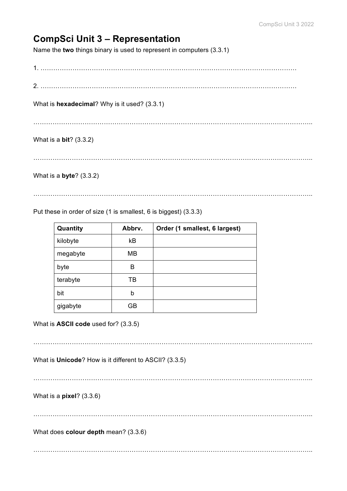## **CompSci Unit 3 – Representation**

Name the **two** things binary is used to represent in computers (3.3.1)

1. …………………………………………………………………………………………………………

2. …………………………………………………………………………………………………………

What is **hexadecimal**? Why is it used? (3.3.1)

…………………………………………………………………………………………………………………..

## What is a **bit**? (3.3.2)

…………………………………………………………………………………………………………………..

What is a **byte**? (3.3.2)

…………………………………………………………………………………………………………………..

Put these in order of size (1 is smallest, 6 is biggest) (3.3.3)

| Quantity | Abbrv. | Order (1 smallest, 6 largest) |
|----------|--------|-------------------------------|
| kilobyte | kB     |                               |
| megabyte | MВ     |                               |
| byte     | B      |                               |
| terabyte | ΤВ     |                               |
| bit      | b      |                               |
| gigabyte | GB     |                               |

What is **ASCII code** used for? (3.3.5)

…………………………………………………………………………………………………………………..

What is **Unicode**? How is it different to ASCII? (3.3.5)

. The contract of the contract of the contract of the contract of the contract of the contract of the contract of the contract of the contract of the contract of the contract of the contract of the contract of the contrac

What is a **pixel**? (3.3.6)

…………………………………………………………………………………………………………………..

What does **colour depth** mean? (3.3.6)

…………………………………………………………………………………………………………………..